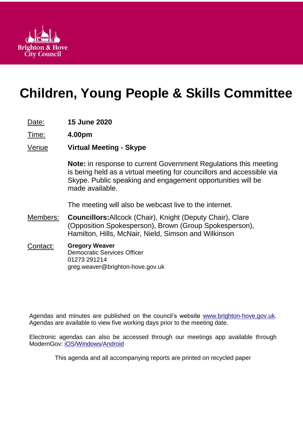

# **Children, Young People & Skills Committee**

- Date: **15 June 2020**
- Time: **4.00pm**
- Venue **Virtual Meeting - Skype**

**Note:** in response to current Government Regulations this meeting is being held as a virtual meeting for councillors and accessible via Skype. Public speaking and engagement opportunities will be made available.

The meeting will also be webcast live to the internet.

- Members: **Councillors:**Allcock (Chair), Knight (Deputy Chair), Clare (Opposition Spokesperson), Brown (Group Spokesperson), Hamilton, Hills, McNair, Nield, Simson and Wilkinson
- Contact: **Gregory Weaver** Democratic Services Officer 01273 291214 greg.weaver@brighton-hove.gov.uk

Agendas and minutes are published on the council's website [www.brighton-hove.gov.uk.](http://www.brighton-hove.gov.uk/) Agendas are available to view five working days prior to the meeting date.

Electronic agendas can also be accessed through our meetings app available through ModernGov: [iOS](https://play.google.com/store/apps/details?id=uk.co.moderngov.modgov&hl=en_GB)[/Windows/](https://www.microsoft.com/en-gb/p/modgov/9nblggh0c7s7#activetab=pivot:overviewtab)[Android](https://play.google.com/store/apps/details?id=uk.co.moderngov.modgov&hl=en_GB)

This agenda and all accompanying reports are printed on recycled paper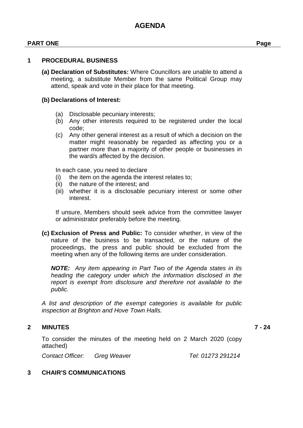#### **PART ONE Page**

#### **1 PROCEDURAL BUSINESS**

**(a) Declaration of Substitutes:** Where Councillors are unable to attend a meeting, a substitute Member from the same Political Group may attend, speak and vote in their place for that meeting.

#### **(b) Declarations of Interest:**

- (a) Disclosable pecuniary interests;
- (b) Any other interests required to be registered under the local code;
- (c) Any other general interest as a result of which a decision on the matter might reasonably be regarded as affecting you or a partner more than a majority of other people or businesses in the ward/s affected by the decision.

In each case, you need to declare

- (i) the item on the agenda the interest relates to;
- (ii) the nature of the interest; and
- (iii) whether it is a disclosable pecuniary interest or some other interest.

If unsure, Members should seek advice from the committee lawyer or administrator preferably before the meeting.

**(c) Exclusion of Press and Public:** To consider whether, in view of the nature of the business to be transacted, or the nature of the proceedings, the press and public should be excluded from the meeting when any of the following items are under consideration.

*NOTE: Any item appearing in Part Two of the Agenda states in its heading the category under which the information disclosed in the report is exempt from disclosure and therefore not available to the public.*

*A list and description of the exempt categories is available for public inspection at Brighton and Hove Town Halls.*

#### **2 MINUTES 7 - 24**

To consider the minutes of the meeting held on 2 March 2020 (copy attached)

*Contact Officer: Greg Weaver Tel: 01273 291214*

**3 CHAIR'S COMMUNICATIONS**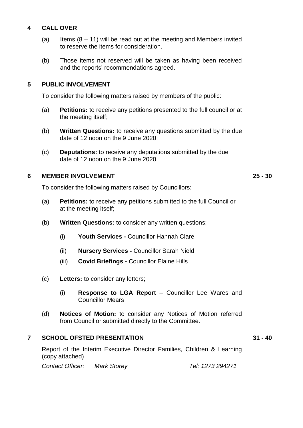## **4 CALL OVER**

- (a) Items  $(8 11)$  will be read out at the meeting and Members invited to reserve the items for consideration.
- (b) Those items not reserved will be taken as having been received and the reports' recommendations agreed.

## **5 PUBLIC INVOLVEMENT**

To consider the following matters raised by members of the public:

- (a) **Petitions:** to receive any petitions presented to the full council or at the meeting itself;
- (b) **Written Questions:** to receive any questions submitted by the due date of 12 noon on the 9 June 2020;
- (c) **Deputations:** to receive any deputations submitted by the due date of 12 noon on the 9 June 2020.

### **6 MEMBER INVOLVEMENT 25 - 30**

To consider the following matters raised by Councillors:

- (a) **Petitions:** to receive any petitions submitted to the full Council or at the meeting itself;
- (b) **Written Questions:** to consider any written questions;
	- (i) **Youth Services -** Councillor Hannah Clare
	- (ii) **Nursery Services -** Councillor Sarah Nield
	- (iii) **Covid Briefings -** Councillor Elaine Hills
- (c) **Letters:** to consider any letters;
	- (i) **Response to LGA Report**  Councillor Lee Wares and Councillor Mears
- (d) **Notices of Motion:** to consider any Notices of Motion referred from Council or submitted directly to the Committee.

## **7 SCHOOL OFSTED PRESENTATION 31 - 40**

Report of the Interim Executive Director Families, Children & Learning (copy attached)

*Contact Officer: Mark Storey Tel: 1273 294271*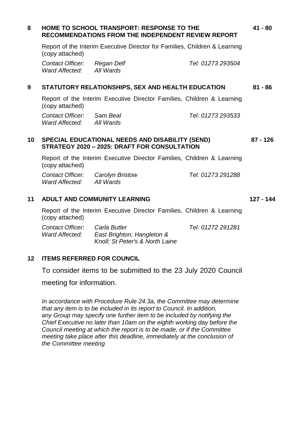| 8  | <b>HOME TO SCHOOL TRANSPORT: RESPONSE TO THE</b><br><b>RECOMMENDATIONS FROM THE INDEPENDENT REVIEW REPORT</b><br>Report of the Interim Executive Director for Families, Children & Learning<br>(copy attached) |                                                                               |                   | $41 - 80$  |
|----|----------------------------------------------------------------------------------------------------------------------------------------------------------------------------------------------------------------|-------------------------------------------------------------------------------|-------------------|------------|
|    |                                                                                                                                                                                                                |                                                                               |                   |            |
|    | Contact Officer:<br>Ward Affected:                                                                                                                                                                             | Regan Delf<br>All Wards                                                       | Tel: 01273 293504 |            |
| 9  | STATUTORY RELATIONSHIPS, SEX AND HEALTH EDUCATION                                                                                                                                                              |                                                                               |                   | $81 - 86$  |
|    | Report of the Interim Executive Director Families, Children & Learning<br>(copy attached)                                                                                                                      |                                                                               |                   |            |
|    | Contact Officer: Sam Beal<br>Ward Affected: All Wards                                                                                                                                                          |                                                                               | Tel: 01273 293533 |            |
| 10 | <b>SPECIAL EDUCATIONAL NEEDS AND DISABILITY (SEND)</b><br>STRATEGY 2020 - 2025: DRAFT FOR CONSULTATION                                                                                                         |                                                                               |                   | $87 - 126$ |
|    | Report of the Interim Executive Director Families, Children & Learning<br>(copy attached)                                                                                                                      |                                                                               |                   |            |
|    | Ward Affected: All Wards                                                                                                                                                                                       | <b>Contact Officer:</b> Carolyn Bristow                                       | Tel: 01273 291288 |            |
| 11 | <b>ADULT AND COMMUNITY LEARNING</b>                                                                                                                                                                            |                                                                               |                   | 127 - 144  |
|    | Report of the Interim Executive Director Families, Children & Learning<br>(copy attached)                                                                                                                      |                                                                               |                   |            |
|    | <b>Contact Officer:</b><br>Ward Affected:                                                                                                                                                                      | Carla Butler<br>East Brighton; Hangleton &<br>Knoll; St Peter's & North Laine | Tel: 01272 291281 |            |
|    |                                                                                                                                                                                                                |                                                                               |                   |            |

#### **12 ITEMS REFERRED FOR COUNCIL**

To consider items to be submitted to the 23 July 2020 Council

meeting for information.

*In accordance with Procedure Rule 24.3a, the Committee may determine that any item is to be included in its report to Council. In addition, any Group may specify one further item to be included by notifying the Chief Executive no later than 10am on the eighth working day before the Council meeting at which the report is to be made, or if the Committee meeting take place after this deadline, immediately at the conclusion of the Committee meeting*